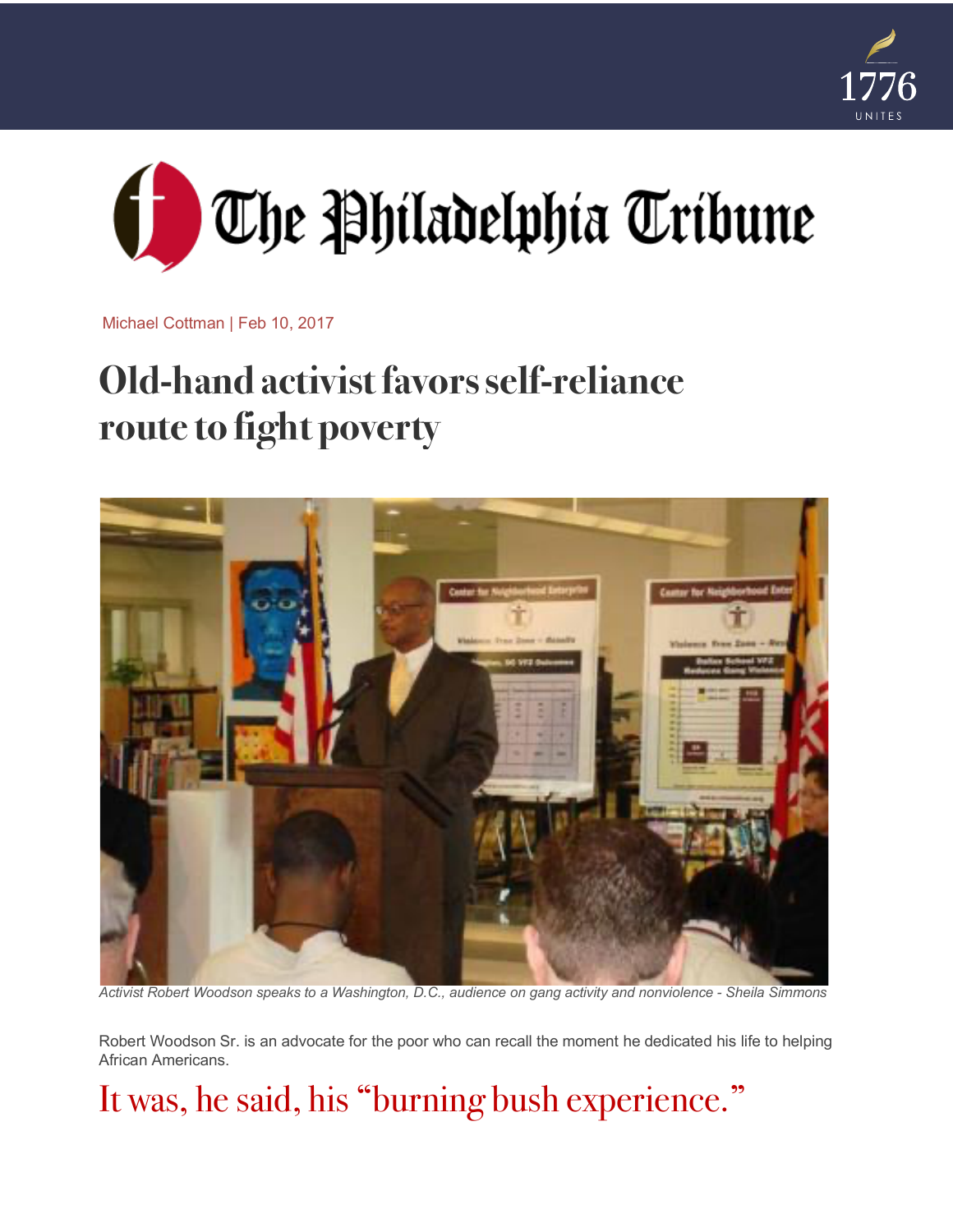



Michael Cottman | Feb 10, 2017

# **Old-hand activist favors self-reliance route to fight poverty**



Activist Robert Woodson speaks to a Washington, D.C., audience on gang activity and nonviolence - Sheila Simmons

Robert Woodson Sr. is an advocate for the poor who can recall the moment he dedicated his life to helping African Americans.

#### It was, he said, his "burning bush experience."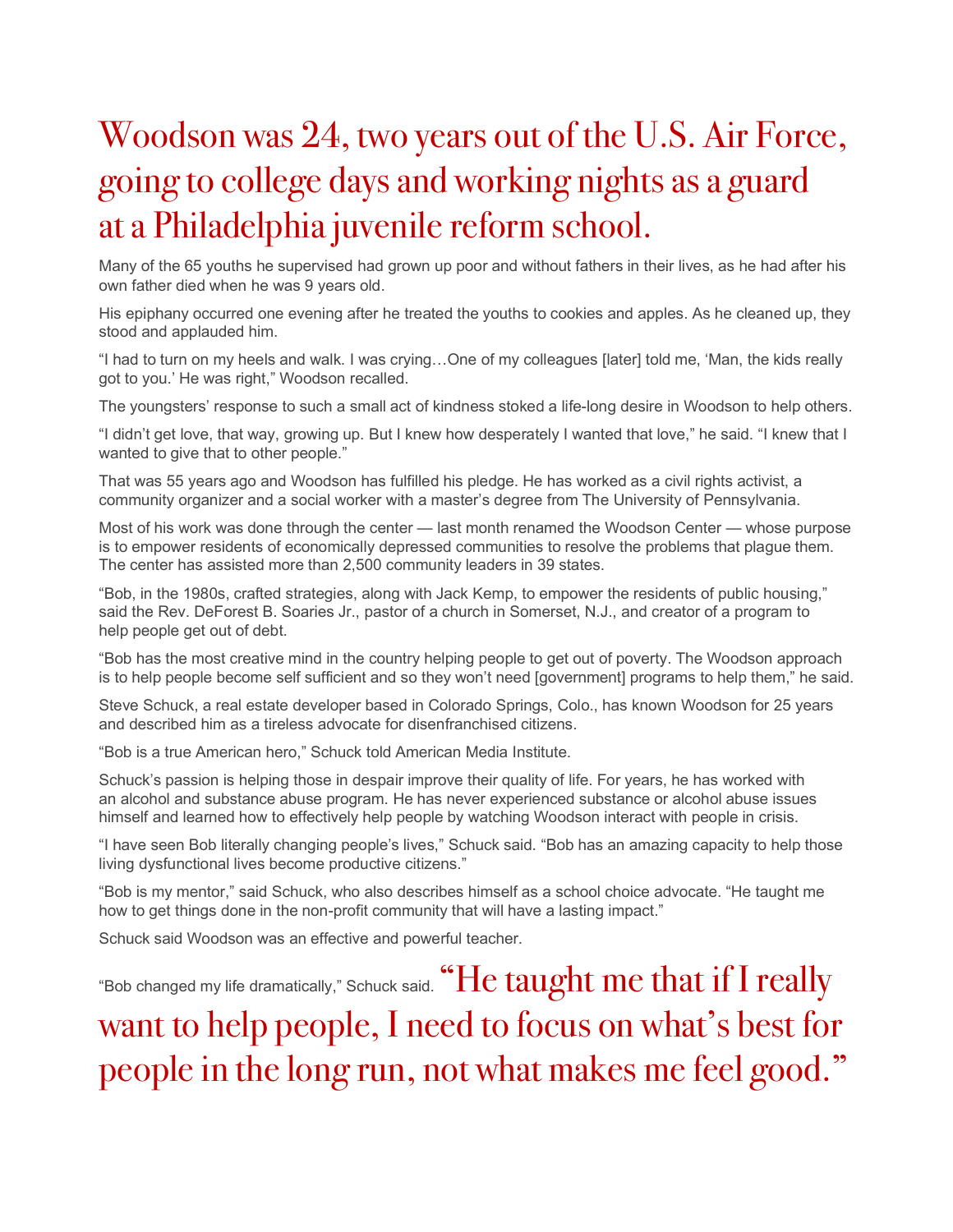## Woodson was 24, two years out of the U.S. Air Force, going to college days and working nights as a guard at a Philadelphia juvenile reform school.

Many of the 65 youths he supervised had grown up poor and without fathers in their lives, as he had after his own father died when he was 9 years old.

His epiphany occurred one evening after he treated the youths to cookies and apples. As he cleaned up, they stood and applauded him.

"I had to turn on my heels and walk. I was crying…One of my colleagues [later] told me, 'Man, the kids really got to you.' He was right," Woodson recalled.

The youngsters' response to such a small act of kindness stoked a life-long desire in Woodson to help others.

"I didn't get love, that way, growing up. But I knew how desperately I wanted that love," he said. "I knew that I wanted to give that to other people."

That was 55 years ago and Woodson has fulfilled his pledge. He has worked as a civil rights activist, a community organizer and a social worker with a master's degree from The University of Pennsylvania.

Most of his work was done through the center — last month renamed the Woodson Center — whose purpose is to empower residents of economically depressed communities to resolve the problems that plague them. The center has assisted more than 2,500 community leaders in 39 states.

"Bob, in the 1980s, crafted strategies, along with Jack Kemp, to empower the residents of public housing," said the Rev. DeForest B. Soaries Jr., pastor of a church in Somerset, N.J., and creator of a program to help people get out of debt.

"Bob has the most creative mind in the country helping people to get out of poverty. The Woodson approach is to help people become self sufficient and so they won't need [government] programs to help them," he said.

Steve Schuck, a real estate developer based in Colorado Springs, Colo., has known Woodson for 25 years and described him as a tireless advocate for disenfranchised citizens.

"Bob is a true American hero," Schuck told American Media Institute.

Schuck's passion is helping those in despair improve their quality of life. For years, he has worked with an alcohol and substance abuse program. He has never experienced substance or alcohol abuse issues himself and learned how to effectively help people by watching Woodson interact with people in crisis.

"I have seen Bob literally changing people's lives," Schuck said. "Bob has an amazing capacity to help those living dysfunctional lives become productive citizens."

"Bob is my mentor," said Schuck, who also describes himself as a school choice advocate. "He taught me how to get things done in the non-profit community that will have a lasting impact."

Schuck said Woodson was an effective and powerful teacher.

"Bob changed my life dramatically," Schuck said. "He taught me that if I really want to help people, I need to focus on what's best for people in the long run, not what makes me feel good."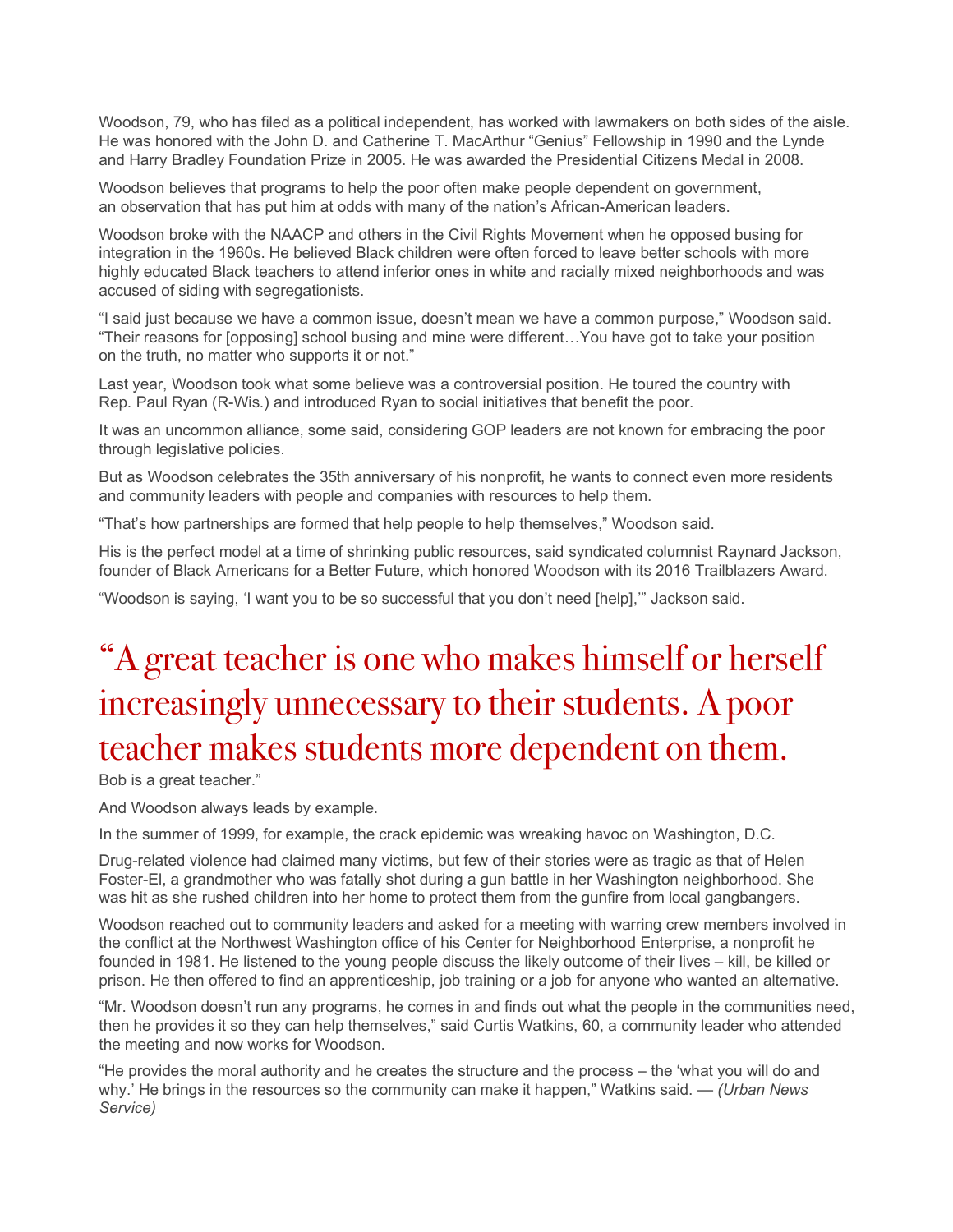Woodson, 79, who has filed as a political independent, has worked with lawmakers on both sides of the aisle. He was honored with the John D. and Catherine T. MacArthur "Genius" Fellowship in 1990 and the Lynde and Harry Bradley Foundation Prize in 2005. He was awarded the Presidential Citizens Medal in 2008.

Woodson believes that programs to help the poor often make people dependent on government, an observation that has put him at odds with many of the nation's African-American leaders.

Woodson broke with the NAACP and others in the Civil Rights Movement when he opposed busing for integration in the 1960s. He believed Black children were often forced to leave better schools with more highly educated Black teachers to attend inferior ones in white and racially mixed neighborhoods and was accused of siding with segregationists.

"I said just because we have a common issue, doesn't mean we have a common purpose," Woodson said. "Their reasons for [opposing] school busing and mine were different…You have got to take your position on the truth, no matter who supports it or not."

Last year, Woodson took what some believe was a controversial position. He toured the country with Rep. Paul Ryan (R-Wis.) and introduced Ryan to social initiatives that benefit the poor.

It was an uncommon alliance, some said, considering GOP leaders are not known for embracing the poor through legislative policies.

But as Woodson celebrates the 35th anniversary of his nonprofit, he wants to connect even more residents and community leaders with people and companies with resources to help them.

"That's how partnerships are formed that help people to help themselves," Woodson said.

His is the perfect model at a time of shrinking public resources, said syndicated columnist Raynard Jackson, founder of Black Americans for a Better Future, which honored Woodson with its 2016 Trailblazers Award.

"Woodson is saying, 'I want you to be so successful that you don't need [help],'" Jackson said.

### "A great teacher is one who makes himself or herself increasingly unnecessary to their students. A poor teacher makes students more dependent on them.

Bob is a great teacher."

And Woodson always leads by example.

In the summer of 1999, for example, the crack epidemic was wreaking havoc on Washington, D.C.

Drug-related violence had claimed many victims, but few of their stories were as tragic as that of Helen Foster-El, a grandmother who was fatally shot during a gun battle in her Washington neighborhood. She was hit as she rushed children into her home to protect them from the gunfire from local gangbangers.

Woodson reached out to community leaders and asked for a meeting with warring crew members involved in the conflict at the Northwest Washington office of his Center for Neighborhood Enterprise, a nonprofit he founded in 1981. He listened to the young people discuss the likely outcome of their lives – kill, be killed or prison. He then offered to find an apprenticeship, job training or a job for anyone who wanted an alternative.

"Mr. Woodson doesn't run any programs, he comes in and finds out what the people in the communities need, then he provides it so they can help themselves," said Curtis Watkins, 60, a community leader who attended the meeting and now works for Woodson.

"He provides the moral authority and he creates the structure and the process – the 'what you will do and why.' He brings in the resources so the community can make it happen," Watkins said. — *(Urban News Service)*